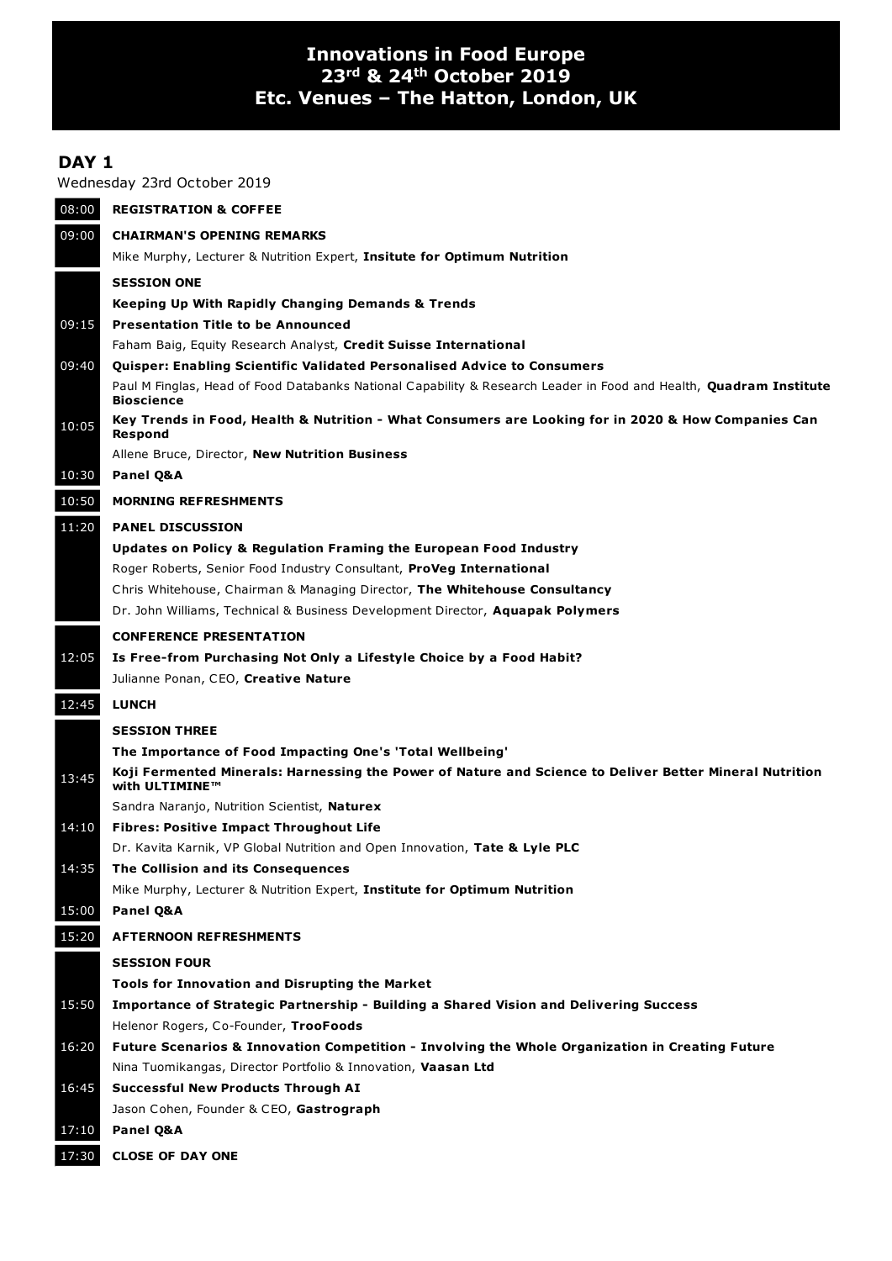## **Innovations in Food Europe 23rd & 24th October 2019 Etc. Venues – The Hatton, London, UK**

## **DAY 1**

Wednesday 23rd October 2019

| 08:00 | <b>REGISTRATION &amp; COFFEE</b>                                                                                                                                    |
|-------|---------------------------------------------------------------------------------------------------------------------------------------------------------------------|
| 09:00 | <b>CHAIRMAN'S OPENING REMARKS</b>                                                                                                                                   |
|       | Mike Murphy, Lecturer & Nutrition Expert, Insitute for Optimum Nutrition                                                                                            |
|       | <b>SESSION ONE</b>                                                                                                                                                  |
|       | Keeping Up With Rapidly Changing Demands & Trends                                                                                                                   |
| 09:15 | <b>Presentation Title to be Announced</b>                                                                                                                           |
|       | Faham Baig, Equity Research Analyst, Credit Suisse International                                                                                                    |
| 09:40 | <b>Quisper: Enabling Scientific Validated Personalised Advice to Consumers</b>                                                                                      |
|       | Paul M Finglas, Head of Food Databanks National Capability & Research Leader in Food and Health, Quadram Institute<br><b>Bioscience</b>                             |
| 10:05 | Key Trends in Food, Health & Nutrition - What Consumers are Looking for in 2020 & How Companies Can<br><b>Respond</b>                                               |
|       | Allene Bruce, Director, New Nutrition Business                                                                                                                      |
| 10:30 | Panel Q&A                                                                                                                                                           |
| 10:50 | <b>MORNING REFRESHMENTS</b>                                                                                                                                         |
| 11:20 | <b>PANEL DISCUSSION</b>                                                                                                                                             |
|       | <b>Updates on Policy &amp; Regulation Framing the European Food Industry</b>                                                                                        |
|       | Roger Roberts, Senior Food Industry Consultant, <b>ProVeg International</b>                                                                                         |
|       | Chris Whitehouse, Chairman & Managing Director, The Whitehouse Consultancy                                                                                          |
|       | Dr. John Williams, Technical & Business Development Director, Aquapak Polymers                                                                                      |
|       | <b>CONFERENCE PRESENTATION</b>                                                                                                                                      |
| 12:05 | Is Free-from Purchasing Not Only a Lifestyle Choice by a Food Habit?                                                                                                |
|       | Julianne Ponan, CEO, Creative Nature                                                                                                                                |
| 12:45 | <b>LUNCH</b>                                                                                                                                                        |
|       |                                                                                                                                                                     |
|       | <b>SESSION THREE</b>                                                                                                                                                |
|       | The Importance of Food Impacting One's 'Total Wellbeing'<br>Koji Fermented Minerals: Harnessing the Power of Nature and Science to Deliver Better Mineral Nutrition |
| 13:45 | with ULTIMINE™                                                                                                                                                      |
|       | Sandra Naranjo, Nutrition Scientist, Naturex                                                                                                                        |
| 14:10 | <b>Fibres: Positive Impact Throughout Life</b>                                                                                                                      |
|       | Dr. Kavita Karnik, VP Global Nutrition and Open Innovation, Tate & Lyle PLC                                                                                         |
| 14:35 | The Collision and its Consequences                                                                                                                                  |
|       | Mike Murphy, Lecturer & Nutrition Expert, Institute for Optimum Nutrition                                                                                           |
| 15:00 | Panel Q&A                                                                                                                                                           |
| 15:20 | <b>AFTERNOON REFRESHMENTS</b>                                                                                                                                       |
|       | <b>SESSION FOUR</b>                                                                                                                                                 |
|       | <b>Tools for Innovation and Disrupting the Market</b>                                                                                                               |
| 15:50 | Importance of Strategic Partnership - Building a Shared Vision and Delivering Success                                                                               |
|       | Helenor Rogers, Co-Founder, TrooFoods                                                                                                                               |
| 16:20 | Future Scenarios & Innovation Competition - Involving the Whole Organization in Creating Future                                                                     |
|       | Nina Tuomikangas, Director Portfolio & Innovation, Vaasan Ltd                                                                                                       |
| 16:45 | Successful New Products Through AI                                                                                                                                  |
|       | Jason Cohen, Founder & CEO, Gastrograph                                                                                                                             |
| 17:10 | Panel Q&A                                                                                                                                                           |
| 17:30 | <b>CLOSE OF DAY ONE</b>                                                                                                                                             |